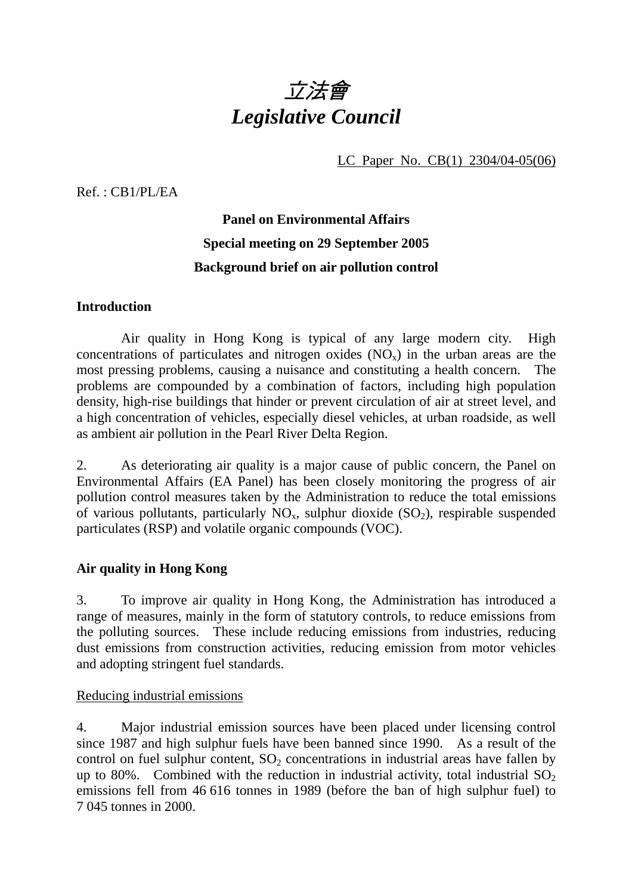

LC Paper No. CB(1) 2304/04-05(06)

Ref. : CB1/PL/EA

# **Panel on Environmental Affairs Special meeting on 29 September 2005 Background brief on air pollution control**

#### **Introduction**

 Air quality in Hong Kong is typical of any large modern city. High concentrations of particulates and nitrogen oxides  $(NO<sub>x</sub>)$  in the urban areas are the most pressing problems, causing a nuisance and constituting a health concern. The problems are compounded by a combination of factors, including high population density, high-rise buildings that hinder or prevent circulation of air at street level, and a high concentration of vehicles, especially diesel vehicles, at urban roadside, as well as ambient air pollution in the Pearl River Delta Region.

2. As deteriorating air quality is a major cause of public concern, the Panel on Environmental Affairs (EA Panel) has been closely monitoring the progress of air pollution control measures taken by the Administration to reduce the total emissions of various pollutants, particularly  $NO<sub>x</sub>$ , sulphur dioxide (SO<sub>2</sub>), respirable suspended particulates (RSP) and volatile organic compounds (VOC).

## **Air quality in Hong Kong**

3. To improve air quality in Hong Kong, the Administration has introduced a range of measures, mainly in the form of statutory controls, to reduce emissions from the polluting sources. These include reducing emissions from industries, reducing dust emissions from construction activities, reducing emission from motor vehicles and adopting stringent fuel standards.

## Reducing industrial emissions

4. Major industrial emission sources have been placed under licensing control since 1987 and high sulphur fuels have been banned since 1990. As a result of the control on fuel sulphur content,  $SO_2$  concentrations in industrial areas have fallen by up to 80%. Combined with the reduction in industrial activity, total industrial  $SO<sub>2</sub>$ emissions fell from 46 616 tonnes in 1989 (before the ban of high sulphur fuel) to 7 045 tonnes in 2000.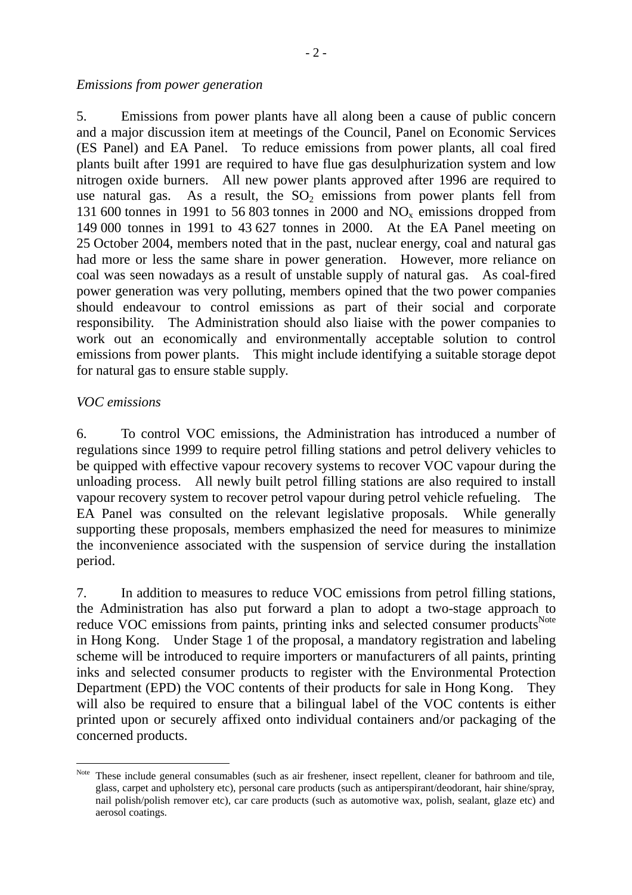#### *Emissions from power generation*

5. Emissions from power plants have all along been a cause of public concern and a major discussion item at meetings of the Council, Panel on Economic Services (ES Panel) and EA Panel. To reduce emissions from power plants, all coal fired plants built after 1991 are required to have flue gas desulphurization system and low nitrogen oxide burners. All new power plants approved after 1996 are required to use natural gas. As a result, the  $SO<sub>2</sub>$  emissions from power plants fell from 131 600 tonnes in 1991 to 56 803 tonnes in 2000 and  $NO<sub>x</sub>$  emissions dropped from 149 000 tonnes in 1991 to 43 627 tonnes in 2000. At the EA Panel meeting on 25 October 2004, members noted that in the past, nuclear energy, coal and natural gas had more or less the same share in power generation. However, more reliance on coal was seen nowadays as a result of unstable supply of natural gas. As coal-fired power generation was very polluting, members opined that the two power companies should endeavour to control emissions as part of their social and corporate responsibility. The Administration should also liaise with the power companies to work out an economically and environmentally acceptable solution to control emissions from power plants. This might include identifying a suitable storage depot for natural gas to ensure stable supply.

#### *VOC emissions*

 $\overline{a}$ 

6. To control VOC emissions, the Administration has introduced a number of regulations since 1999 to require petrol filling stations and petrol delivery vehicles to be quipped with effective vapour recovery systems to recover VOC vapour during the unloading process. All newly built petrol filling stations are also required to install vapour recovery system to recover petrol vapour during petrol vehicle refueling. The EA Panel was consulted on the relevant legislative proposals. While generally supporting these proposals, members emphasized the need for measures to minimize the inconvenience associated with the suspension of service during the installation period.

7. In addition to measures to reduce VOC emissions from petrol filling stations, the Administration has also put forward a plan to adopt a two-stage approach to reduce VOC emissions from paints, printing inks and selected consumer products<sup>Note</sup> in Hong Kong. Under Stage 1 of the proposal, a mandatory registration and labeling scheme will be introduced to require importers or manufacturers of all paints, printing inks and selected consumer products to register with the Environmental Protection Department (EPD) the VOC contents of their products for sale in Hong Kong. They will also be required to ensure that a bilingual label of the VOC contents is either printed upon or securely affixed onto individual containers and/or packaging of the concerned products.

Note These include general consumables (such as air freshener, insect repellent, cleaner for bathroom and tile, glass, carpet and upholstery etc), personal care products (such as antiperspirant/deodorant, hair shine/spray, nail polish/polish remover etc), car care products (such as automotive wax, polish, sealant, glaze etc) and aerosol coatings.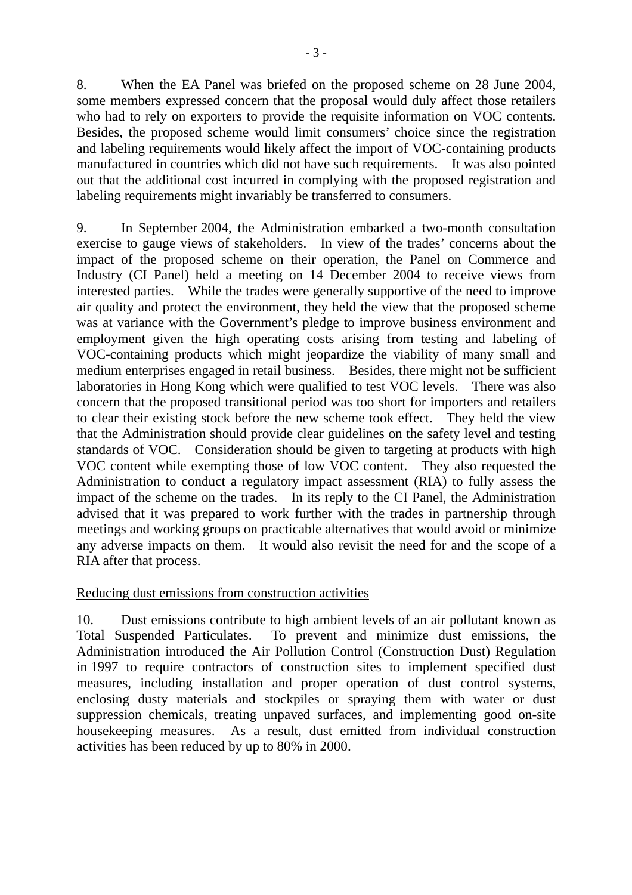8. When the EA Panel was briefed on the proposed scheme on 28 June 2004, some members expressed concern that the proposal would duly affect those retailers who had to rely on exporters to provide the requisite information on VOC contents. Besides, the proposed scheme would limit consumers' choice since the registration and labeling requirements would likely affect the import of VOC-containing products manufactured in countries which did not have such requirements. It was also pointed out that the additional cost incurred in complying with the proposed registration and labeling requirements might invariably be transferred to consumers.

9. In September 2004, the Administration embarked a two-month consultation exercise to gauge views of stakeholders. In view of the trades' concerns about the impact of the proposed scheme on their operation, the Panel on Commerce and Industry (CI Panel) held a meeting on 14 December 2004 to receive views from interested parties. While the trades were generally supportive of the need to improve air quality and protect the environment, they held the view that the proposed scheme was at variance with the Government's pledge to improve business environment and employment given the high operating costs arising from testing and labeling of VOC-containing products which might jeopardize the viability of many small and medium enterprises engaged in retail business. Besides, there might not be sufficient laboratories in Hong Kong which were qualified to test VOC levels. There was also concern that the proposed transitional period was too short for importers and retailers to clear their existing stock before the new scheme took effect. They held the view that the Administration should provide clear guidelines on the safety level and testing standards of VOC. Consideration should be given to targeting at products with high VOC content while exempting those of low VOC content. They also requested the Administration to conduct a regulatory impact assessment (RIA) to fully assess the impact of the scheme on the trades. In its reply to the CI Panel, the Administration advised that it was prepared to work further with the trades in partnership through meetings and working groups on practicable alternatives that would avoid or minimize any adverse impacts on them. It would also revisit the need for and the scope of a RIA after that process.

## Reducing dust emissions from construction activities

10. Dust emissions contribute to high ambient levels of an air pollutant known as Total Suspended Particulates. To prevent and minimize dust emissions, the Administration introduced the Air Pollution Control (Construction Dust) Regulation in 1997 to require contractors of construction sites to implement specified dust measures, including installation and proper operation of dust control systems, enclosing dusty materials and stockpiles or spraying them with water or dust suppression chemicals, treating unpaved surfaces, and implementing good on-site housekeeping measures. As a result, dust emitted from individual construction activities has been reduced by up to 80% in 2000.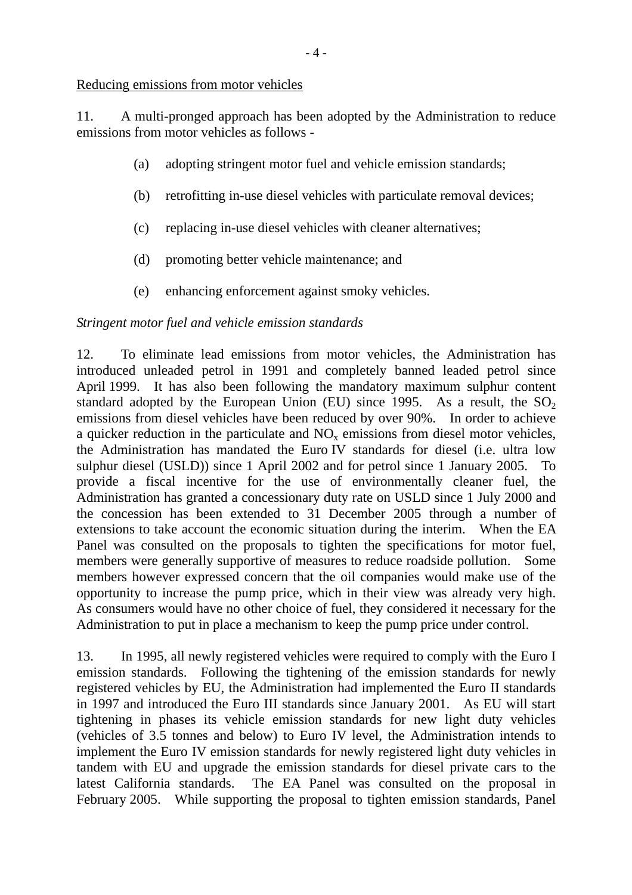Reducing emissions from motor vehicles

11. A multi-pronged approach has been adopted by the Administration to reduce emissions from motor vehicles as follows -

- (a) adopting stringent motor fuel and vehicle emission standards;
- (b) retrofitting in-use diesel vehicles with particulate removal devices;
- (c) replacing in-use diesel vehicles with cleaner alternatives;
- (d) promoting better vehicle maintenance; and
- (e) enhancing enforcement against smoky vehicles.

## *Stringent motor fuel and vehicle emission standards*

12. To eliminate lead emissions from motor vehicles, the Administration has introduced unleaded petrol in 1991 and completely banned leaded petrol since April 1999. It has also been following the mandatory maximum sulphur content standard adopted by the European Union (EU) since 1995. As a result, the  $SO<sub>2</sub>$ emissions from diesel vehicles have been reduced by over 90%. In order to achieve a quicker reduction in the particulate and  $NO<sub>x</sub>$  emissions from diesel motor vehicles, the Administration has mandated the Euro IV standards for diesel (i.e. ultra low sulphur diesel (USLD)) since 1 April 2002 and for petrol since 1 January 2005. To provide a fiscal incentive for the use of environmentally cleaner fuel, the Administration has granted a concessionary duty rate on USLD since 1 July 2000 and the concession has been extended to 31 December 2005 through a number of extensions to take account the economic situation during the interim. When the EA Panel was consulted on the proposals to tighten the specifications for motor fuel, members were generally supportive of measures to reduce roadside pollution. Some members however expressed concern that the oil companies would make use of the opportunity to increase the pump price, which in their view was already very high. As consumers would have no other choice of fuel, they considered it necessary for the Administration to put in place a mechanism to keep the pump price under control.

13. In 1995, all newly registered vehicles were required to comply with the Euro I emission standards. Following the tightening of the emission standards for newly registered vehicles by EU, the Administration had implemented the Euro II standards in 1997 and introduced the Euro III standards since January 2001. As EU will start tightening in phases its vehicle emission standards for new light duty vehicles (vehicles of 3.5 tonnes and below) to Euro IV level, the Administration intends to implement the Euro IV emission standards for newly registered light duty vehicles in tandem with EU and upgrade the emission standards for diesel private cars to the latest California standards. The EA Panel was consulted on the proposal in February 2005. While supporting the proposal to tighten emission standards, Panel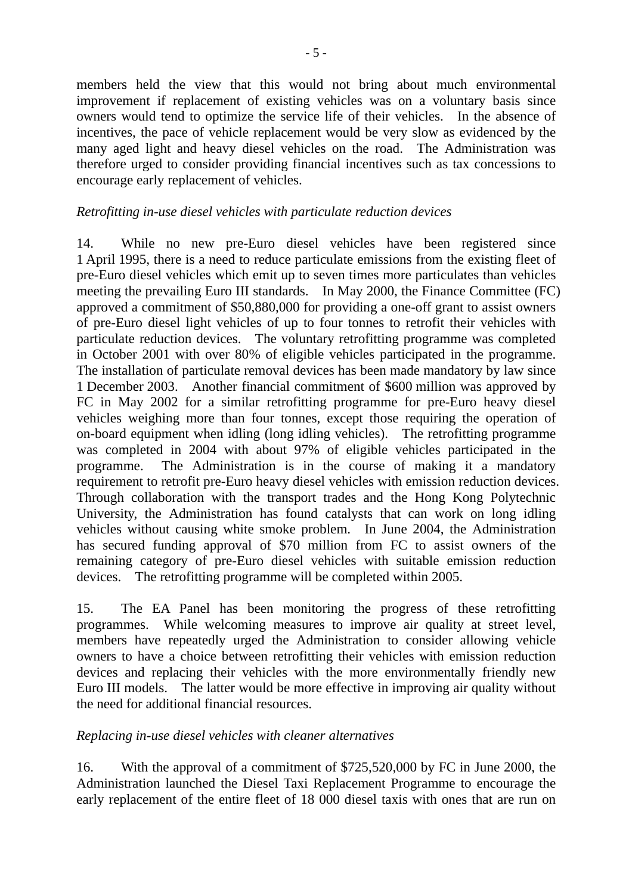members held the view that this would not bring about much environmental improvement if replacement of existing vehicles was on a voluntary basis since owners would tend to optimize the service life of their vehicles. In the absence of incentives, the pace of vehicle replacement would be very slow as evidenced by the many aged light and heavy diesel vehicles on the road. The Administration was therefore urged to consider providing financial incentives such as tax concessions to encourage early replacement of vehicles.

# *Retrofitting in-use diesel vehicles with particulate reduction devices*

14. While no new pre-Euro diesel vehicles have been registered since 1 April 1995, there is a need to reduce particulate emissions from the existing fleet of pre-Euro diesel vehicles which emit up to seven times more particulates than vehicles meeting the prevailing Euro III standards. In May 2000, the Finance Committee (FC) approved a commitment of \$50,880,000 for providing a one-off grant to assist owners of pre-Euro diesel light vehicles of up to four tonnes to retrofit their vehicles with particulate reduction devices. The voluntary retrofitting programme was completed in October 2001 with over 80% of eligible vehicles participated in the programme. The installation of particulate removal devices has been made mandatory by law since 1 December 2003. Another financial commitment of \$600 million was approved by FC in May 2002 for a similar retrofitting programme for pre-Euro heavy diesel vehicles weighing more than four tonnes, except those requiring the operation of on-board equipment when idling (long idling vehicles). The retrofitting programme was completed in 2004 with about 97% of eligible vehicles participated in the programme. The Administration is in the course of making it a mandatory requirement to retrofit pre-Euro heavy diesel vehicles with emission reduction devices. Through collaboration with the transport trades and the Hong Kong Polytechnic University, the Administration has found catalysts that can work on long idling vehicles without causing white smoke problem. In June 2004, the Administration has secured funding approval of \$70 million from FC to assist owners of the remaining category of pre-Euro diesel vehicles with suitable emission reduction devices. The retrofitting programme will be completed within 2005.

15. The EA Panel has been monitoring the progress of these retrofitting programmes. While welcoming measures to improve air quality at street level, members have repeatedly urged the Administration to consider allowing vehicle owners to have a choice between retrofitting their vehicles with emission reduction devices and replacing their vehicles with the more environmentally friendly new Euro III models. The latter would be more effective in improving air quality without the need for additional financial resources.

## *Replacing in-use diesel vehicles with cleaner alternatives*

16. With the approval of a commitment of \$725,520,000 by FC in June 2000, the Administration launched the Diesel Taxi Replacement Programme to encourage the early replacement of the entire fleet of 18 000 diesel taxis with ones that are run on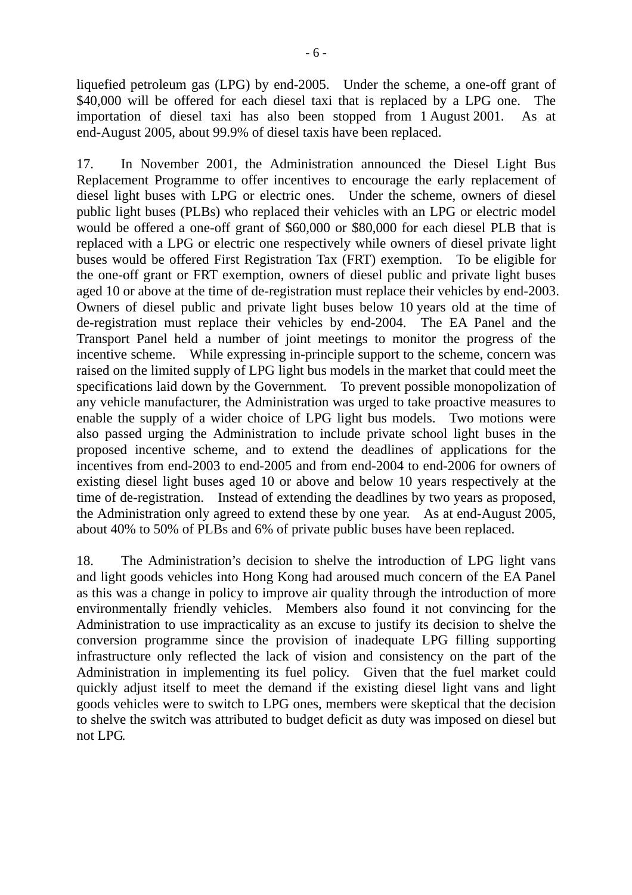liquefied petroleum gas (LPG) by end-2005. Under the scheme, a one-off grant of \$40,000 will be offered for each diesel taxi that is replaced by a LPG one. The importation of diesel taxi has also been stopped from 1 August 2001. As at end-August 2005, about 99.9% of diesel taxis have been replaced.

17. In November 2001, the Administration announced the Diesel Light Bus Replacement Programme to offer incentives to encourage the early replacement of diesel light buses with LPG or electric ones. Under the scheme, owners of diesel public light buses (PLBs) who replaced their vehicles with an LPG or electric model would be offered a one-off grant of \$60,000 or \$80,000 for each diesel PLB that is replaced with a LPG or electric one respectively while owners of diesel private light buses would be offered First Registration Tax (FRT) exemption. To be eligible for the one-off grant or FRT exemption, owners of diesel public and private light buses aged 10 or above at the time of de-registration must replace their vehicles by end-2003. Owners of diesel public and private light buses below 10 years old at the time of de-registration must replace their vehicles by end-2004. The EA Panel and the Transport Panel held a number of joint meetings to monitor the progress of the incentive scheme. While expressing in-principle support to the scheme, concern was raised on the limited supply of LPG light bus models in the market that could meet the specifications laid down by the Government. To prevent possible monopolization of any vehicle manufacturer, the Administration was urged to take proactive measures to enable the supply of a wider choice of LPG light bus models. Two motions were also passed urging the Administration to include private school light buses in the proposed incentive scheme, and to extend the deadlines of applications for the incentives from end-2003 to end-2005 and from end-2004 to end-2006 for owners of existing diesel light buses aged 10 or above and below 10 years respectively at the time of de-registration. Instead of extending the deadlines by two years as proposed, the Administration only agreed to extend these by one year. As at end-August 2005, about 40% to 50% of PLBs and 6% of private public buses have been replaced.

18. The Administration's decision to shelve the introduction of LPG light vans and light goods vehicles into Hong Kong had aroused much concern of the EA Panel as this was a change in policy to improve air quality through the introduction of more environmentally friendly vehicles. Members also found it not convincing for the Administration to use impracticality as an excuse to justify its decision to shelve the conversion programme since the provision of inadequate LPG filling supporting infrastructure only reflected the lack of vision and consistency on the part of the Administration in implementing its fuel policy. Given that the fuel market could quickly adjust itself to meet the demand if the existing diesel light vans and light goods vehicles were to switch to LPG ones, members were skeptical that the decision to shelve the switch was attributed to budget deficit as duty was imposed on diesel but not LPG.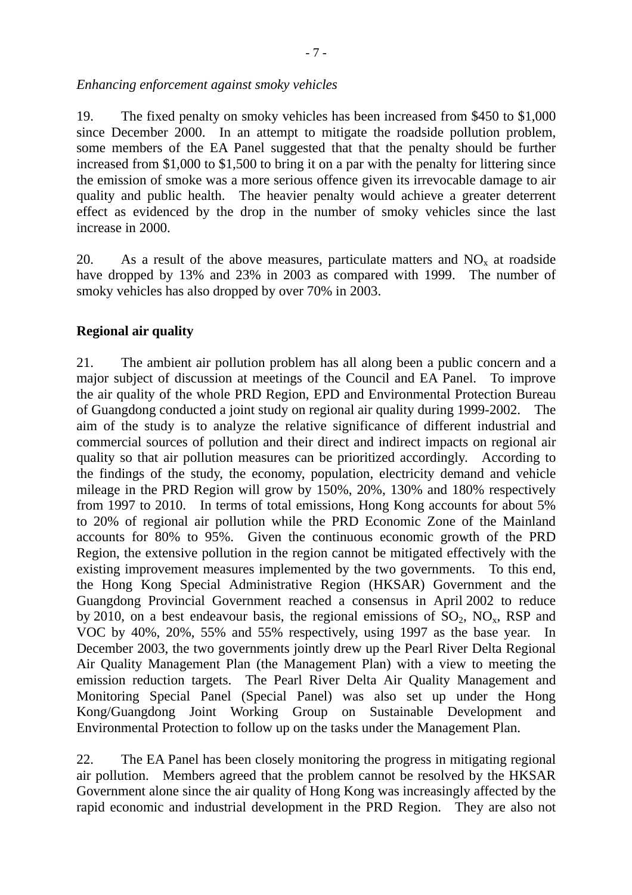*Enhancing enforcement against smoky vehicles* 

19. The fixed penalty on smoky vehicles has been increased from \$450 to \$1,000 since December 2000. In an attempt to mitigate the roadside pollution problem, some members of the EA Panel suggested that that the penalty should be further increased from \$1,000 to \$1,500 to bring it on a par with the penalty for littering since the emission of smoke was a more serious offence given its irrevocable damage to air quality and public health. The heavier penalty would achieve a greater deterrent effect as evidenced by the drop in the number of smoky vehicles since the last increase in 2000.

20. As a result of the above measures, particulate matters and  $NO<sub>x</sub>$  at roadside have dropped by 13% and 23% in 2003 as compared with 1999. The number of smoky vehicles has also dropped by over 70% in 2003.

## **Regional air quality**

21. The ambient air pollution problem has all along been a public concern and a major subject of discussion at meetings of the Council and EA Panel. To improve the air quality of the whole PRD Region, EPD and Environmental Protection Bureau of Guangdong conducted a joint study on regional air quality during 1999-2002. The aim of the study is to analyze the relative significance of different industrial and commercial sources of pollution and their direct and indirect impacts on regional air quality so that air pollution measures can be prioritized accordingly. According to the findings of the study, the economy, population, electricity demand and vehicle mileage in the PRD Region will grow by 150%, 20%, 130% and 180% respectively from 1997 to 2010. In terms of total emissions, Hong Kong accounts for about 5% to 20% of regional air pollution while the PRD Economic Zone of the Mainland accounts for 80% to 95%. Given the continuous economic growth of the PRD Region, the extensive pollution in the region cannot be mitigated effectively with the existing improvement measures implemented by the two governments. To this end, the Hong Kong Special Administrative Region (HKSAR) Government and the Guangdong Provincial Government reached a consensus in April 2002 to reduce by 2010, on a best endeavour basis, the regional emissions of  $SO_2$ ,  $NO_x$ , RSP and VOC by 40%, 20%, 55% and 55% respectively, using 1997 as the base year. In December 2003, the two governments jointly drew up the Pearl River Delta Regional Air Quality Management Plan (the Management Plan) with a view to meeting the emission reduction targets. The Pearl River Delta Air Quality Management and Monitoring Special Panel (Special Panel) was also set up under the Hong Kong/Guangdong Joint Working Group on Sustainable Development and Environmental Protection to follow up on the tasks under the Management Plan.

22. The EA Panel has been closely monitoring the progress in mitigating regional air pollution. Members agreed that the problem cannot be resolved by the HKSAR Government alone since the air quality of Hong Kong was increasingly affected by the rapid economic and industrial development in the PRD Region. They are also not